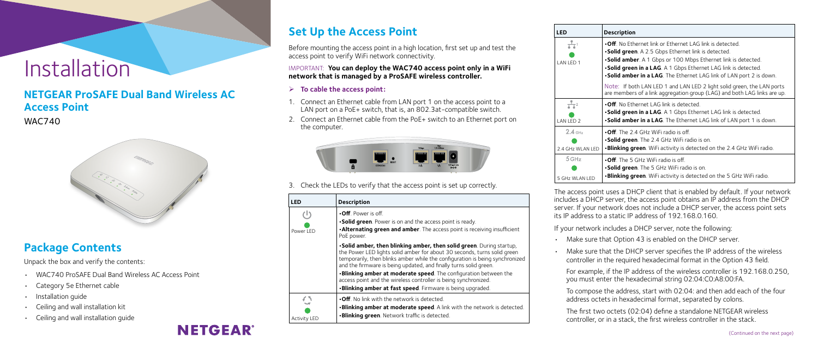# Installation

### **NETGEAR ProSAFE Dual Band Wireless AC Access Point**

WAC740



# **Set Up the Access Point**

Before mounting the access point in a high location, first set up and test the access point to verify WiFi network connectivity.

IMPORTANT: **You can deploy the WAC740 access point only in a WiFi network that is managed by a ProSAFE wireless controller.**

#### ¾ **To cable the access point:**

- 1. Connect an Ethernet cable from LAN port 1 on the access point to a LAN port on a PoE+ switch, that is, an 802.3at-compatible switch.
- 2. Connect an Ethernet cable from the PoE+ switch to an Ethernet port on the computer.



3. Check the LEDs to verify that the access point is set up correctly.

| <b>LED</b>          | <b>Description</b>                                                                                                                                                                                                                                                                                     |
|---------------------|--------------------------------------------------------------------------------------------------------------------------------------------------------------------------------------------------------------------------------------------------------------------------------------------------------|
| ( L )               | $\cdot$ Off. Power is off.                                                                                                                                                                                                                                                                             |
|                     | •Solid green. Power is on and the access point is ready.                                                                                                                                                                                                                                               |
| Power LED           | . Alternating green and amber. The access point is receiving insufficient<br>PoE power.                                                                                                                                                                                                                |
|                     | . Solid amber, then blinking amber, then solid green. During startup,<br>the Power LED lights solid amber for about 30 seconds, turns solid green<br>temporarily, then blinks amber while the configuration is being synchronized<br>and the firmware is being updated, and finally turns solid green. |
|                     | .Blinking amber at moderate speed. The configuration between the<br>access point and the wireless controller is being synchronized.                                                                                                                                                                    |
|                     | .Blinking amber at fast speed. Firmware is being upgraded.                                                                                                                                                                                                                                             |
|                     | $\cdot$ Off. No link with the network is detected.                                                                                                                                                                                                                                                     |
|                     | .Blinking amber at moderate speed. A link with the network is detected.                                                                                                                                                                                                                                |
| <b>Activity LED</b> | <b>.Blinking green</b> . Network traffic is detected.                                                                                                                                                                                                                                                  |

The access point uses a DHCP client that is enabled by default. If your network ncludes a DHCP server, the access point obtains an IP address from the DHCP server. If your network does not include a DHCP server, the access point sets ts IP address to a static IP address of 192.168.0.160.

### **Package Contents**

Unpack the box and verify the contents:

- Make sure that Option 43 is enabled on the DHCP server.
- Make sure that the DHCP server specifies the IP address of the wireless controller in the required hexadecimal format in the Option 43 field.

- WAC740 ProSAFE Dual Band Wireless AC Access Point
- Category 5e Ethernet cable
- Installation guide
- Ceiling and wall installation kit
- Ceiling and wall installation guide



#### **LED Description**

- If your network includes a DHCP server, note the following:
- For example, if the IP address of the wireless controller is 192.168.0.250, you must enter the hexadecimal string 02:04:C0:A8:00:FA.
- To compose the address, start with 02:04: and then add each of the four address octets in hexadecimal format, separated by colons.
- The first two octets (02:04) define a standalone NETGEAR wireless controller, or in a stack, the first wireless controller in the stack.
- **•Off**. No Ethernet link or Ethernet LAG link is detected.
- **•Solid green**. A 2.5 Gbps Ethernet link is detected.
- **•Solid amber**. A 1 Gbps or 100 Mbps Ethernet link is detected.
- **•Solid green in a LAG**. A 1 Gbps Ethernet LAG link is detected.
- **•Solid amber in a LAG**. The Ethernet LAG link of LAN port 2 is down.

Note: If both LAN LED 1 and LAN LED 2 light solid green, the LAN ports are members of a link aggregation group (LAG) and both LAG links are up.



- **•Off**. No Ethernet LAG link is detected.
- **•Solid green in a LAG**. A 1 Gbps Ethernet LAG link is detected.
- **•Solid amber in a LAG**. The Ethernet LAG link of LAN port 1 is down.
- **•Off**. The 2.4 GHz WiFi radio is off.
- **•Solid green**. The 2.4 GHz WiFi radio is on.
- **•Blinking green**. WiFi activity is detected on the 2.4 GHz WiFi radio.
- **•Off**. The 5 GHz WiFi radio is off.
- **•Solid green**. The 5 GHz WiFi radio is on.
- **•Blinking green**. WiFi activity is detected on the 5 GHz WiFi radio.